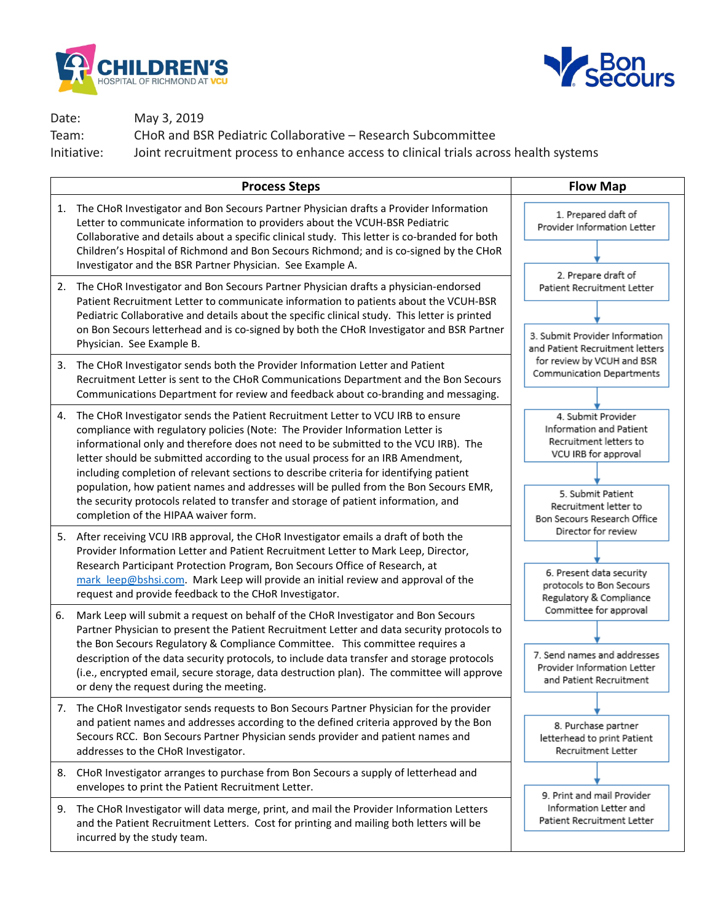



Date: May 3, 2019

Team: CHoR and BSR Pediatric Collaborative – Research Subcommittee

Initiative: Joint recruitment process to enhance access to clinical trials across health systems

|    | <b>Process Steps</b>                                                                                                                                                                                                                                                                                                                                                                                                                                                                                                                                                                                                                                       | <b>Flow Map</b>                                                                                                                               |
|----|------------------------------------------------------------------------------------------------------------------------------------------------------------------------------------------------------------------------------------------------------------------------------------------------------------------------------------------------------------------------------------------------------------------------------------------------------------------------------------------------------------------------------------------------------------------------------------------------------------------------------------------------------------|-----------------------------------------------------------------------------------------------------------------------------------------------|
| 1. | The CHoR Investigator and Bon Secours Partner Physician drafts a Provider Information<br>Letter to communicate information to providers about the VCUH-BSR Pediatric<br>Collaborative and details about a specific clinical study. This letter is co-branded for both<br>Children's Hospital of Richmond and Bon Secours Richmond; and is co-signed by the CHoR                                                                                                                                                                                                                                                                                            | 1. Prepared daft of<br>Provider Information Letter                                                                                            |
|    | Investigator and the BSR Partner Physician. See Example A.<br>2. The CHoR Investigator and Bon Secours Partner Physician drafts a physician-endorsed<br>Patient Recruitment Letter to communicate information to patients about the VCUH-BSR<br>Pediatric Collaborative and details about the specific clinical study. This letter is printed<br>on Bon Secours letterhead and is co-signed by both the CHoR Investigator and BSR Partner<br>Physician. See Example B.                                                                                                                                                                                     | 2. Prepare draft of<br>Patient Recruitment Letter<br>3. Submit Provider Information<br>and Patient Recruitment letters                        |
|    | 3. The CHoR Investigator sends both the Provider Information Letter and Patient<br>Recruitment Letter is sent to the CHoR Communications Department and the Bon Secours<br>Communications Department for review and feedback about co-branding and messaging.                                                                                                                                                                                                                                                                                                                                                                                              | for review by VCUH and BSR<br>Communication Departments                                                                                       |
| 4. | The CHoR Investigator sends the Patient Recruitment Letter to VCU IRB to ensure<br>compliance with regulatory policies (Note: The Provider Information Letter is<br>informational only and therefore does not need to be submitted to the VCU IRB). The<br>letter should be submitted according to the usual process for an IRB Amendment,<br>including completion of relevant sections to describe criteria for identifying patient<br>population, how patient names and addresses will be pulled from the Bon Secours EMR,<br>the security protocols related to transfer and storage of patient information, and<br>completion of the HIPAA waiver form. | 4. Submit Provider<br>Information and Patient<br>Recruitment letters to<br>VCU IRB for approval<br>5. Submit Patient<br>Recruitment letter to |
|    | 5. After receiving VCU IRB approval, the CHoR Investigator emails a draft of both the<br>Provider Information Letter and Patient Recruitment Letter to Mark Leep, Director,<br>Research Participant Protection Program, Bon Secours Office of Research, at<br>mark leep@bshsi.com. Mark Leep will provide an initial review and approval of the<br>request and provide feedback to the CHoR Investigator.                                                                                                                                                                                                                                                  | Bon Secours Research Office<br>Director for review<br>6. Present data security<br>protocols to Bon Secours<br>Regulatory & Compliance         |
| 6. | Mark Leep will submit a request on behalf of the CHoR Investigator and Bon Secours<br>Partner Physician to present the Patient Recruitment Letter and data security protocols to<br>the Bon Secours Regulatory & Compliance Committee. This committee requires a<br>description of the data security protocols, to include data transfer and storage protocols<br>(i.e., encrypted email, secure storage, data destruction plan). The committee will approve<br>or deny the request during the meeting.                                                                                                                                                    | Committee for approval<br>7. Send names and addresses<br>Provider Information Letter<br>and Patient Recruitment                               |
|    | 7. The CHoR Investigator sends requests to Bon Secours Partner Physician for the provider<br>and patient names and addresses according to the defined criteria approved by the Bon<br>Secours RCC. Bon Secours Partner Physician sends provider and patient names and<br>addresses to the CHoR Investigator.                                                                                                                                                                                                                                                                                                                                               | 8. Purchase partner<br>letterhead to print Patient<br>Recruitment Letter                                                                      |
|    | 8. CHoR Investigator arranges to purchase from Bon Secours a supply of letterhead and<br>envelopes to print the Patient Recruitment Letter.                                                                                                                                                                                                                                                                                                                                                                                                                                                                                                                | 9. Print and mail Provider                                                                                                                    |
|    | 9. The CHoR Investigator will data merge, print, and mail the Provider Information Letters<br>and the Patient Recruitment Letters. Cost for printing and mailing both letters will be<br>incurred by the study team.                                                                                                                                                                                                                                                                                                                                                                                                                                       | Information Letter and<br>Patient Recruitment Letter                                                                                          |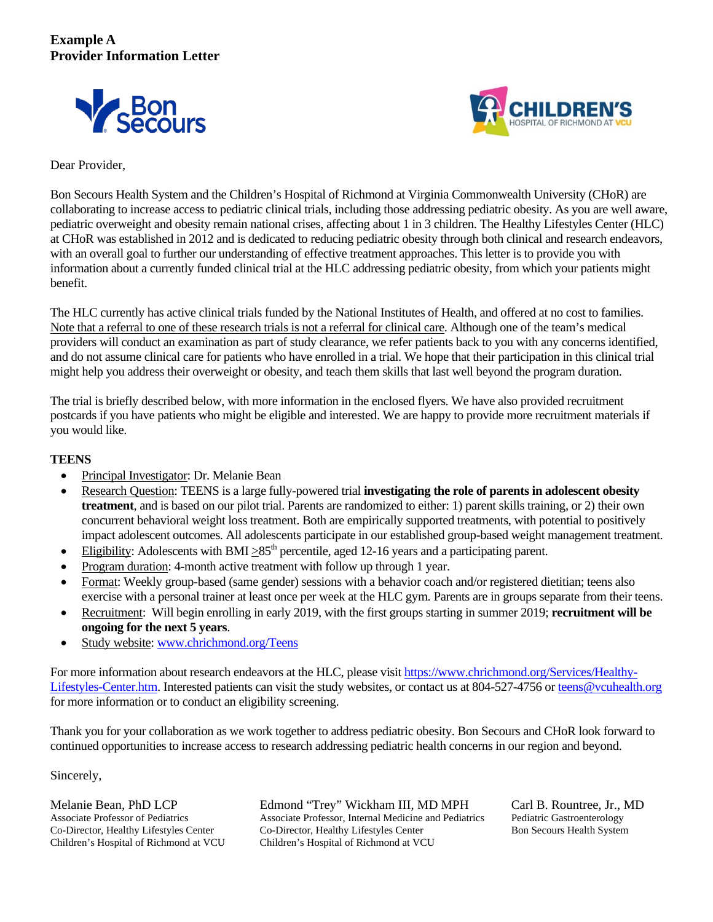



## Dear Provider,

Bon Secours Health System and the Children's Hospital of Richmond at Virginia Commonwealth University (CHoR) are collaborating to increase access to pediatric clinical trials, including those addressing pediatric obesity. As you are well aware, pediatric overweight and obesity remain national crises, affecting about 1 in 3 children. The Healthy Lifestyles Center (HLC) at CHoR was established in 2012 and is dedicated to reducing pediatric obesity through both clinical and research endeavors, with an overall goal to further our understanding of effective treatment approaches. This letter is to provide you with information about a currently funded clinical trial at the HLC addressing pediatric obesity, from which your patients might benefit.

The HLC currently has active clinical trials funded by the National Institutes of Health, and offered at no cost to families. Note that a referral to one of these research trials is not a referral for clinical care. Although one of the team's medical providers will conduct an examination as part of study clearance, we refer patients back to you with any concerns identified, and do not assume clinical care for patients who have enrolled in a trial. We hope that their participation in this clinical trial might help you address their overweight or obesity, and teach them skills that last well beyond the program duration.

The trial is briefly described below, with more information in the enclosed flyers. We have also provided recruitment postcards if you have patients who might be eligible and interested. We are happy to provide more recruitment materials if you would like.

## **TEENS**

- Principal Investigator: Dr. Melanie Bean
- Research Question: TEENS is a large fully-powered trial **investigating the role of parents in adolescent obesity treatment**, and is based on our pilot trial. Parents are randomized to either: 1) parent skills training, or 2) their own concurrent behavioral weight loss treatment. Both are empirically supported treatments, with potential to positively impact adolescent outcomes. All adolescents participate in our established group-based weight management treatment.
- Eligibility: Adolescents with BMI  $>85<sup>th</sup>$  percentile, aged 12-16 years and a participating parent.
- Program duration: 4-month active treatment with follow up through 1 year.
- Format: Weekly group-based (same gender) sessions with a behavior coach and/or registered dietitian; teens also exercise with a personal trainer at least once per week at the HLC gym. Parents are in groups separate from their teens.
- Recruitment: Will begin enrolling in early 2019, with the first groups starting in summer 2019; **recruitment will be ongoing for the next 5 years**.
- Study website: [www.chrichmond.org/Teens](http://www.chrichmond.org/Teens)

For more information about research endeavors at the HLC, please visit [https://www.chrichmond.org/Services/Healthy-](https://www.chrichmond.org/Services/Healthy-Lifestyles-Center.htm)[Lifestyles-Center.htm.](https://www.chrichmond.org/Services/Healthy-Lifestyles-Center.htm) Interested patients can visit the study websites, or contact us at 804-527-4756 o[r teens@vcuhealth.org](mailto:teens@vcuhealth.org) for more information or to conduct an eligibility screening.

Thank you for your collaboration as we work together to address pediatric obesity. Bon Secours and CHoR look forward to continued opportunities to increase access to research addressing pediatric health concerns in our region and beyond.

Sincerely,

Melanie Bean, PhD LCP Edmond "Trey" Wickham III, MD MPH Carl B. Rountree, Jr., MD<br>Associate Professor of Pediatrics Associate Professor, Internal Medicine and Pediatrics Pediatric Gastroenterology Associate Professor, Internal Medicine and Pediatrics Co-Director, Healthy Lifestyles Center Co-Director, Healthy Lifestyles Center Bon Secours Health System Children's Hospital of Richmond at VCU Children's Hospital of Richmond at VCU